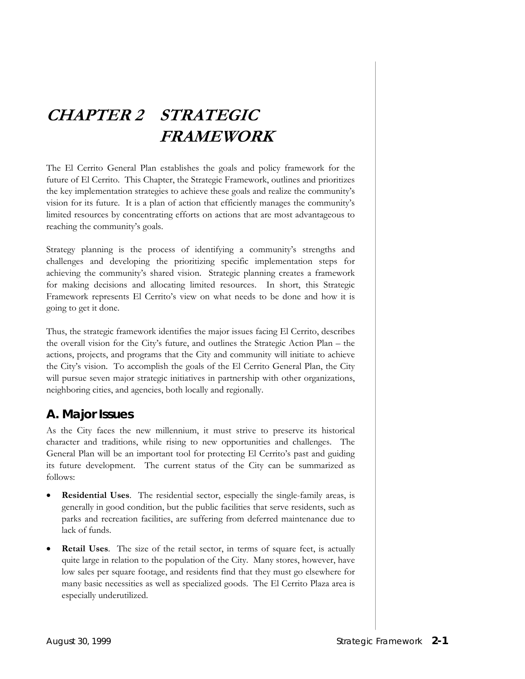# **CHAPTER 2 STRATEGIC FRAMEWORK**

The El Cerrito General Plan establishes the goals and policy framework for the future of El Cerrito. This Chapter, the Strategic Framework, outlines and prioritizes the key implementation strategies to achieve these goals and realize the community's vision for its future. It is a plan of action that efficiently manages the community's limited resources by concentrating efforts on actions that are most advantageous to reaching the community's goals.

Strategy planning is the process of identifying a community's strengths and challenges and developing the prioritizing specific implementation steps for achieving the community's shared vision. Strategic planning creates a framework for making decisions and allocating limited resources. In short, this Strategic Framework represents El Cerrito's view on what needs to be done and how it is going to get it done.

Thus, the strategic framework identifies the major issues facing El Cerrito, describes the overall vision for the City's future, and outlines the Strategic Action Plan – the actions, projects, and programs that the City and community will initiate to achieve the City's vision. To accomplish the goals of the El Cerrito General Plan, the City will pursue seven major strategic initiatives in partnership with other organizations, neighboring cities, and agencies, both locally and regionally.

### **A. Major Issues**

As the City faces the new millennium, it must strive to preserve its historical character and traditions, while rising to new opportunities and challenges. The General Plan will be an important tool for protecting El Cerrito's past and guiding its future development. The current status of the City can be summarized as follows:

- **Residential Uses**. The residential sector, especially the single-family areas, is generally in good condition, but the public facilities that serve residents, such as parks and recreation facilities, are suffering from deferred maintenance due to lack of funds.
- **Retail Uses**. The size of the retail sector, in terms of square feet, is actually quite large in relation to the population of the City. Many stores, however, have low sales per square footage, and residents find that they must go elsewhere for many basic necessities as well as specialized goods. The El Cerrito Plaza area is especially underutilized.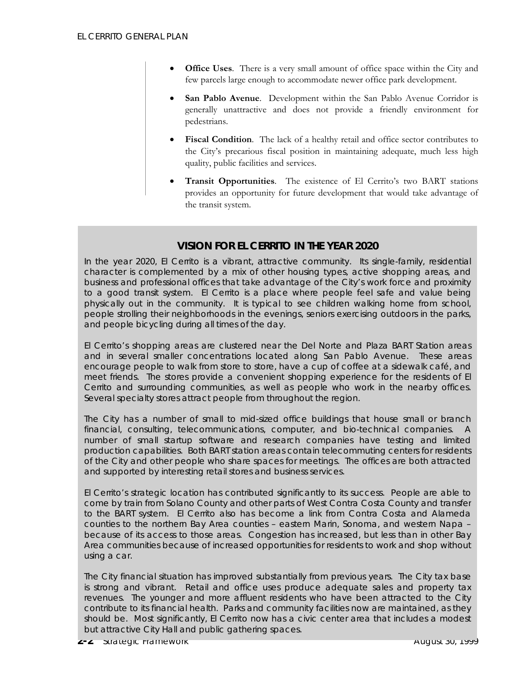- **Office Uses**. There is a very small amount of office space within the City and few parcels large enough to accommodate newer office park development.
- **San Pablo Avenue**. Development within the San Pablo Avenue Corridor is generally unattractive and does not provide a friendly environment for pedestrians.
- **Fiscal Condition**. The lack of a healthy retail and office sector contributes to the City's precarious fiscal position in maintaining adequate, much less high quality, public facilities and services.
- **Transit Opportunities**. The existence of El Cerrito's two BART stations provides an opportunity for future development that would take advantage of the transit system.

#### **VISION FOR EL CERRITO IN THE YEAR 2020**

In the year 2020, El Cerrito is a vibrant, attractive community. Its single-family, residential character is complemented by a mix of other housing types, active shopping areas, and business and professional offices that take advantage of the City's work force and proximity to a good transit system. El Cerrito is a place where people feel safe and value being physically out in the community. It is typical to see children walking home from school, people strolling their neighborhoods in the evenings, seniors exercising outdoors in the parks, and people bicycling during all times of the day.

El Cerrito's shopping areas are clustered near the Del Norte and Plaza BART Station areas and in several smaller concentrations located along San Pablo Avenue. These areas encourage people to walk from store to store, have a cup of coffee at a sidewalk café, and meet friends. The stores provide a convenient shopping experience for the residents of El Cerrito and surrounding communities, as well as people who work in the nearby offices. Several specialty stores attract people from throughout the region.

The City has a number of small to mid-sized office buildings that house small or branch financial, consulting, telecommunications, computer, and bio-technical companies. A number of small startup software and research companies have testing and limited production capabilities. Both BART station areas contain telecommuting centers for residents of the City and other people who share spaces for meetings. The offices are both attracted and supported by interesting retail stores and business services.

El Cerrito's strategic location has contributed significantly to its success. People are able to come by train from Solano County and other parts of West Contra Costa County and transfer to the BART system. El Cerrito also has become a link from Contra Costa and Alameda counties to the northern Bay Area counties – eastern Marin, Sonoma, and western Napa – because of its access to those areas. Congestion has increased, but less than in other Bay Area communities because of increased opportunities for residents to work and shop without using a car.

The City financial situation has improved substantially from previous years. The City tax base is strong and vibrant. Retail and office uses produce adequate sales and property tax revenues. The younger and more affluent residents who have been attracted to the City contribute to its financial health. Parks and community facilities now are maintained, as they should be. Most significantly, El Cerrito now has a civic center area that includes a modest but attractive City Hall and public gathering spaces.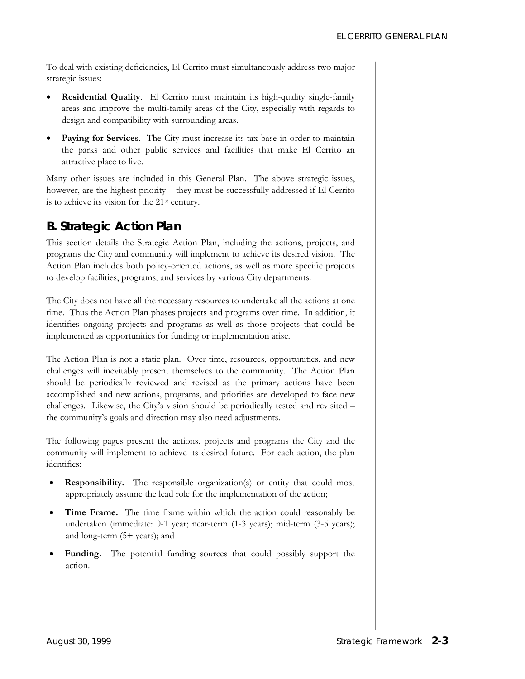To deal with existing deficiencies, El Cerrito must simultaneously address two major strategic issues:

- **Residential Quality**. El Cerrito must maintain its high-quality single-family areas and improve the multi-family areas of the City, especially with regards to design and compatibility with surrounding areas.
- **Paying for Services**. The City must increase its tax base in order to maintain the parks and other public services and facilities that make El Cerrito an attractive place to live.

Many other issues are included in this General Plan. The above strategic issues, however, are the highest priority – they must be successfully addressed if El Cerrito is to achieve its vision for the 21st century.

# **B. Strategic Action Plan**

This section details the Strategic Action Plan, including the actions, projects, and programs the City and community will implement to achieve its desired vision. The Action Plan includes both policy-oriented actions, as well as more specific projects to develop facilities, programs, and services by various City departments.

The City does not have all the necessary resources to undertake all the actions at one time. Thus the Action Plan phases projects and programs over time. In addition, it identifies ongoing projects and programs as well as those projects that could be implemented as opportunities for funding or implementation arise.

The Action Plan is not a static plan. Over time, resources, opportunities, and new challenges will inevitably present themselves to the community. The Action Plan should be periodically reviewed and revised as the primary actions have been accomplished and new actions, programs, and priorities are developed to face new challenges. Likewise, the City's vision should be periodically tested and revisited – the community's goals and direction may also need adjustments.

The following pages present the actions, projects and programs the City and the community will implement to achieve its desired future. For each action, the plan identifies:

- **Responsibility.** The responsible organization(s) or entity that could most appropriately assume the lead role for the implementation of the action;
- **Time Frame.** The time frame within which the action could reasonably be undertaken (immediate: 0-1 year; near-term (1-3 years); mid-term (3-5 years); and long-term (5+ years); and
- **Funding.** The potential funding sources that could possibly support the action.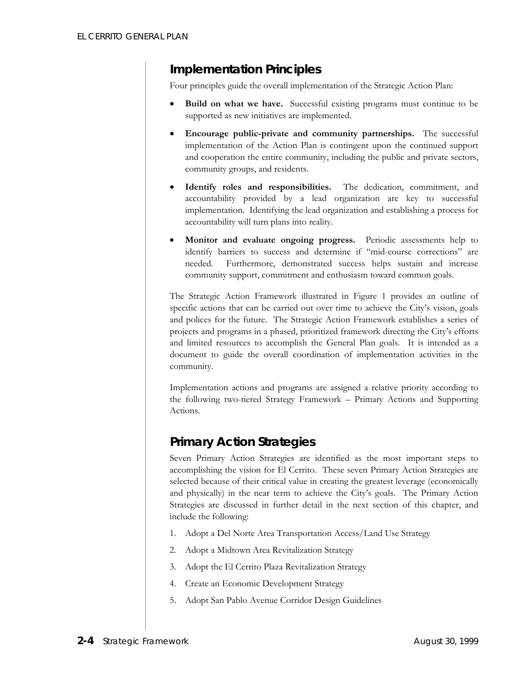### *Implementation Principles*

Four principles guide the overall implementation of the Strategic Action Plan:

- **Build on what we have.** Successful existing programs must continue to be supported as new initiatives are implemented.
- **Encourage public-private and community partnerships.** The successful implementation of the Action Plan is contingent upon the continued support and cooperation the entire community, including the public and private sectors, community groups, and residents.
- **Identify roles and responsibilities.** The dedication, commitment, and accountability provided by a lead organization are key to successful implementation. Identifying the lead organization and establishing a process for accountability will turn plans into reality.
- **Monitor and evaluate ongoing progress.** Periodic assessments help to identify barriers to success and determine if "mid-course corrections" are needed. Furthermore, demonstrated success helps sustain and increase community support, commitment and enthusiasm toward common goals.

The Strategic Action Framework illustrated in Figure 1 provides an outline of specific actions that can be carried out over time to achieve the City's vision, goals and polices for the future. The Strategic Action Framework establishes a series of projects and programs in a phased, prioritized framework directing the City's efforts and limited resources to accomplish the General Plan goals. It is intended as a document to guide the overall coordination of implementation activities in the community.

Implementation actions and programs are assigned a relative priority according to the following two-tiered Strategy Framework – Primary Actions and Supporting Actions.

# *Primary Action Strategies*

Seven Primary Action Strategies are identified as the most important steps to accomplishing the vision for El Cerrito. These seven Primary Action Strategies are selected because of their critical value in creating the greatest leverage (economically and physically) in the near term to achieve the City's goals. The Primary Action Strategies are discussed in further detail in the next section of this chapter, and include the following:

- 1. Adopt a Del Norte Area Transportation Access/Land Use Strategy
- 2. Adopt a Midtown Area Revitalization Strategy
- 3. Adopt the El Cerrito Plaza Revitalization Strategy
- 4. Create an Economic Development Strategy
- 5. Adopt San Pablo Avenue Corridor Design Guidelines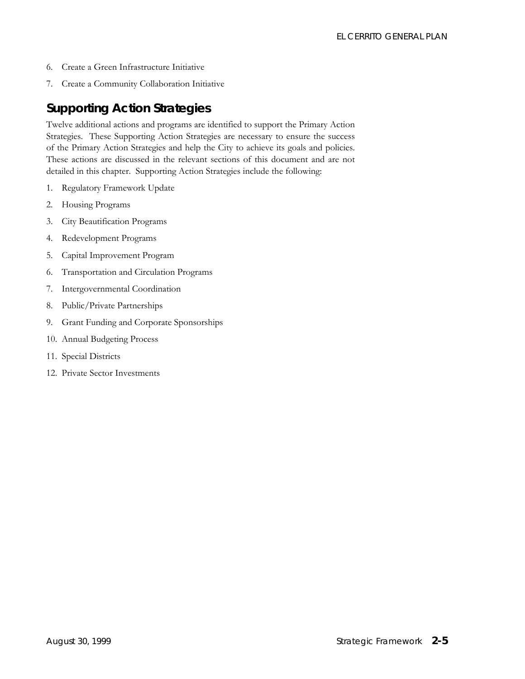- 6. Create a Green Infrastructure Initiative
- 7. Create a Community Collaboration Initiative

### *Supporting Action Strategies*

Twelve additional actions and programs are identified to support the Primary Action Strategies. These Supporting Action Strategies are necessary to ensure the success of the Primary Action Strategies and help the City to achieve its goals and policies. These actions are discussed in the relevant sections of this document and are not detailed in this chapter. Supporting Action Strategies include the following:

- 1. Regulatory Framework Update
- 2. Housing Programs
- 3. City Beautification Programs
- 4. Redevelopment Programs
- 5. Capital Improvement Program
- 6. Transportation and Circulation Programs
- 7. Intergovernmental Coordination
- 8. Public/Private Partnerships
- 9. Grant Funding and Corporate Sponsorships
- 10. Annual Budgeting Process
- 11. Special Districts
- 12. Private Sector Investments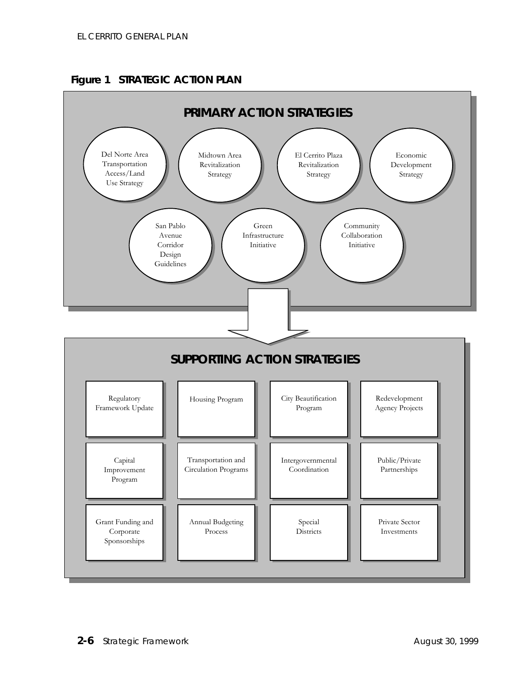

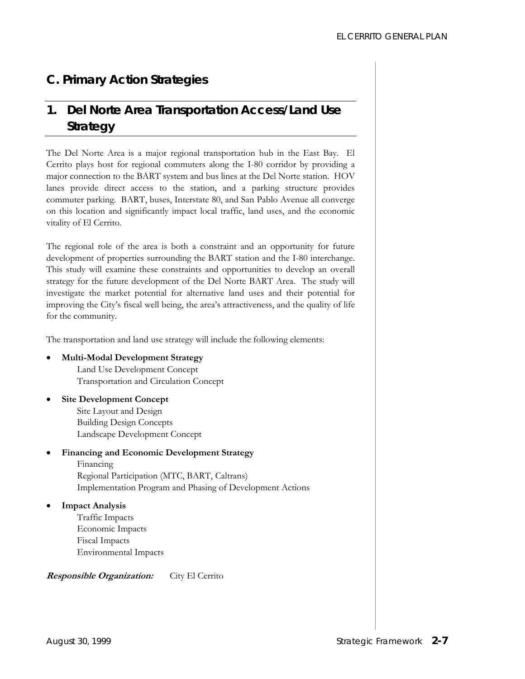# **C. Primary Action Strategies**

# *1. Del Norte Area Transportation Access/Land Use Strategy*

The Del Norte Area is a major regional transportation hub in the East Bay. El Cerrito plays host for regional commuters along the I-80 corridor by providing a major connection to the BART system and bus lines at the Del Norte station. HOV lanes provide direct access to the station, and a parking structure provides commuter parking. BART, buses, Interstate 80, and San Pablo Avenue all converge on this location and significantly impact local traffic, land uses, and the economic vitality of El Cerrito.

The regional role of the area is both a constraint and an opportunity for future development of properties surrounding the BART station and the I-80 interchange. This study will examine these constraints and opportunities to develop an overall strategy for the future development of the Del Norte BART Area. The study will investigate the market potential for alternative land uses and their potential for improving the City's fiscal well being, the area's attractiveness, and the quality of life for the community.

The transportation and land use strategy will include the following elements:

#### • **Multi-Modal Development Strategy**

Land Use Development Concept Transportation and Circulation Concept

**Site Development Concept** Site Layout and Design Building Design Concepts Landscape Development Concept

#### • **Financing and Economic Development Strategy**

 Financing Regional Participation (MTC, BART, Caltrans) Implementation Program and Phasing of Development Actions

• **Impact Analysis**  Traffic Impacts Economic Impacts Fiscal Impacts Environmental Impacts

#### **Responsible Organization:**City El Cerrito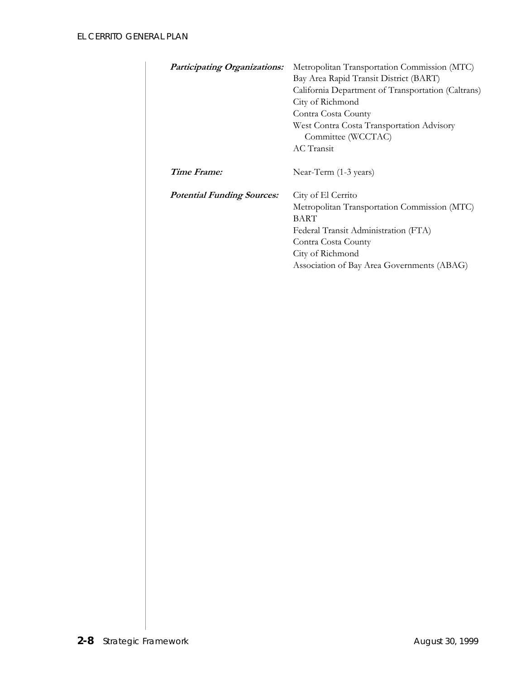| <b>Participating Organizations:</b> | Metropolitan Transportation Commission (MTC)<br>Bay Area Rapid Transit District (BART)<br>California Department of Transportation (Caltrans)<br>City of Richmond<br>Contra Costa County<br>West Contra Costa Transportation Advisory<br>Committee (WCCTAC)<br>AC Transit |
|-------------------------------------|--------------------------------------------------------------------------------------------------------------------------------------------------------------------------------------------------------------------------------------------------------------------------|
| Time Frame:                         | Near-Term (1-3 years)                                                                                                                                                                                                                                                    |
| <b>Potential Funding Sources:</b>   | City of El Cerrito<br>Metropolitan Transportation Commission (MTC)<br><b>BART</b><br>Federal Transit Administration (FTA)<br>Contra Costa County<br>City of Richmond<br>Association of Bay Area Governments (ABAG)                                                       |
|                                     |                                                                                                                                                                                                                                                                          |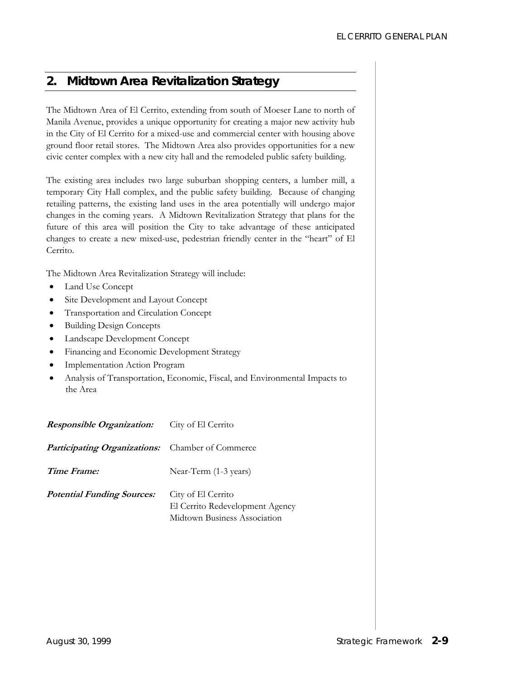### *2. Midtown Area Revitalization Strategy*

The Midtown Area of El Cerrito, extending from south of Moeser Lane to north of Manila Avenue, provides a unique opportunity for creating a major new activity hub in the City of El Cerrito for a mixed-use and commercial center with housing above ground floor retail stores. The Midtown Area also provides opportunities for a new civic center complex with a new city hall and the remodeled public safety building.

The existing area includes two large suburban shopping centers, a lumber mill, a temporary City Hall complex, and the public safety building. Because of changing retailing patterns, the existing land uses in the area potentially will undergo major changes in the coming years. A Midtown Revitalization Strategy that plans for the future of this area will position the City to take advantage of these anticipated changes to create a new mixed-use, pedestrian friendly center in the "heart" of El Cerrito.

The Midtown Area Revitalization Strategy will include:

- Land Use Concept
- Site Development and Layout Concept
- Transportation and Circulation Concept
- Building Design Concepts
- Landscape Development Concept
- Financing and Economic Development Strategy
- Implementation Action Program
- Analysis of Transportation, Economic, Fiscal, and Environmental Impacts to the Area

| <b>Responsible Organization:</b>                        | City of El Cerrito                                                                    |
|---------------------------------------------------------|---------------------------------------------------------------------------------------|
| <b>Participating Organizations:</b> Chamber of Commerce |                                                                                       |
| Time Frame:                                             | Near-Term (1-3 years)                                                                 |
| <i>Potential Funding Sources:</i>                       | City of El Cerrito<br>El Cerrito Redevelopment Agency<br>Midtown Business Association |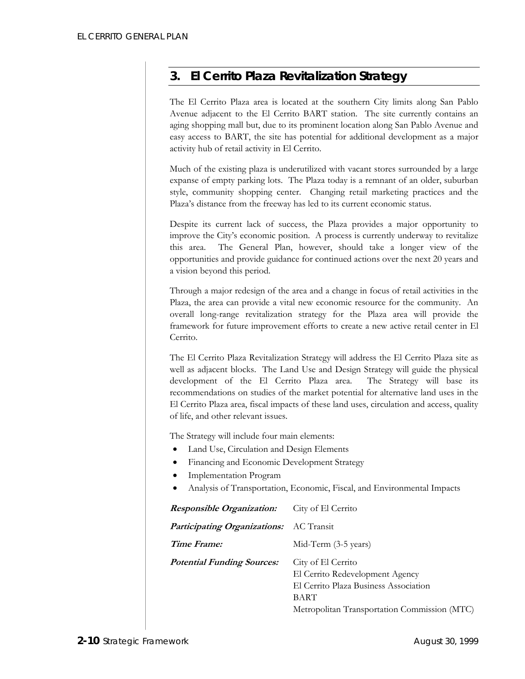# *3. El Cerrito Plaza Revitalization Strategy*

The El Cerrito Plaza area is located at the southern City limits along San Pablo Avenue adjacent to the El Cerrito BART station. The site currently contains an aging shopping mall but, due to its prominent location along San Pablo Avenue and easy access to BART, the site has potential for additional development as a major activity hub of retail activity in El Cerrito.

Much of the existing plaza is underutilized with vacant stores surrounded by a large expanse of empty parking lots. The Plaza today is a remnant of an older, suburban style, community shopping center. Changing retail marketing practices and the Plaza's distance from the freeway has led to its current economic status.

Despite its current lack of success, the Plaza provides a major opportunity to improve the City's economic position. A process is currently underway to revitalize this area. The General Plan, however, should take a longer view of the opportunities and provide guidance for continued actions over the next 20 years and a vision beyond this period.

Through a major redesign of the area and a change in focus of retail activities in the Plaza, the area can provide a vital new economic resource for the community. An overall long-range revitalization strategy for the Plaza area will provide the framework for future improvement efforts to create a new active retail center in El Cerrito.

The El Cerrito Plaza Revitalization Strategy will address the El Cerrito Plaza site as well as adjacent blocks. The Land Use and Design Strategy will guide the physical development of the El Cerrito Plaza area. The Strategy will base its recommendations on studies of the market potential for alternative land uses in the El Cerrito Plaza area, fiscal impacts of these land uses, circulation and access, quality of life, and other relevant issues.

The Strategy will include four main elements:

- Land Use, Circulation and Design Elements
- Financing and Economic Development Strategy
- Implementation Program
- Analysis of Transportation, Economic, Fiscal, and Environmental Impacts

| <b>Responsible Organization:</b>               | City of El Cerrito                                                                                                                                     |
|------------------------------------------------|--------------------------------------------------------------------------------------------------------------------------------------------------------|
| <b>Participating Organizations:</b> AC Transit |                                                                                                                                                        |
| Time Frame:                                    | Mid-Term (3-5 years)                                                                                                                                   |
| <b>Potential Funding Sources:</b>              | City of El Cerrito<br>El Cerrito Redevelopment Agency<br>El Cerrito Plaza Business Association<br>BART<br>Metropolitan Transportation Commission (MTC) |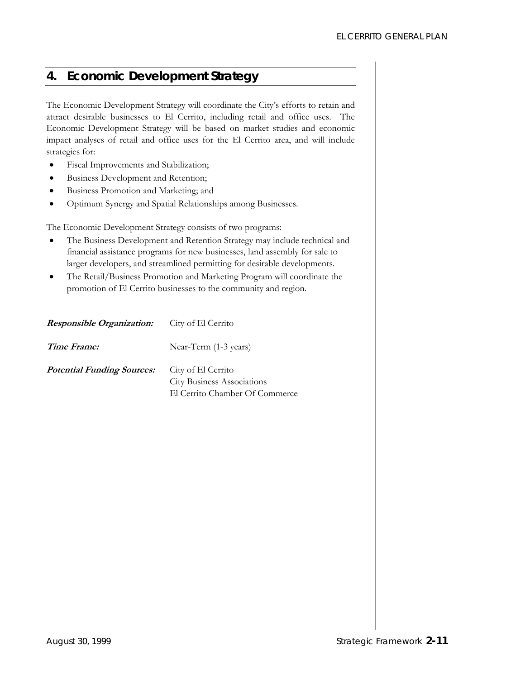### *4. Economic Development Strategy*

The Economic Development Strategy will coordinate the City's efforts to retain and attract desirable businesses to El Cerrito, including retail and office uses. The Economic Development Strategy will be based on market studies and economic impact analyses of retail and office uses for the El Cerrito area, and will include strategies for:

- Fiscal Improvements and Stabilization;
- Business Development and Retention;
- Business Promotion and Marketing; and
- Optimum Synergy and Spatial Relationships among Businesses.

The Economic Development Strategy consists of two programs:

- The Business Development and Retention Strategy may include technical and financial assistance programs for new businesses, land assembly for sale to larger developers, and streamlined permitting for desirable developments.
- The Retail/Business Promotion and Marketing Program will coordinate the promotion of El Cerrito businesses to the community and region.

| <i><b>Responsible Organization:</b></i> | City of El Cernto                                       |
|-----------------------------------------|---------------------------------------------------------|
| Time Frame:                             | Near-Term (1-3 years)                                   |
| <b>Potential Funding Sources:</b>       | City of El Cerrito<br><b>City Business Associations</b> |
|                                         | El Cerrito Chamber Of Commerce                          |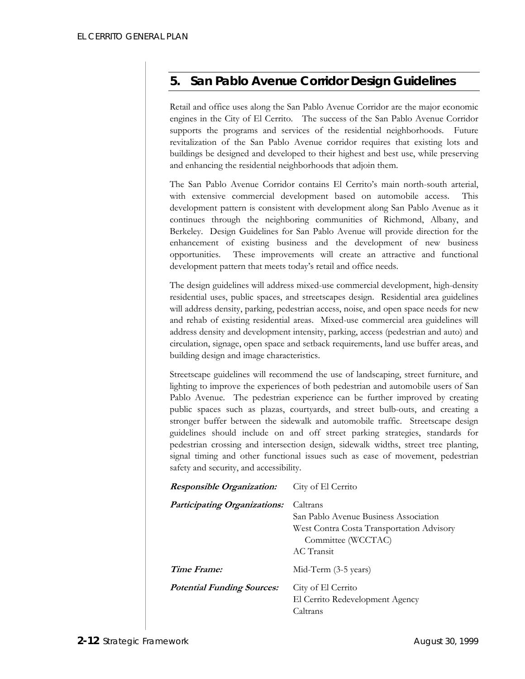# *5. San Pablo Avenue Corridor Design Guidelines*

Retail and office uses along the San Pablo Avenue Corridor are the major economic engines in the City of El Cerrito. The success of the San Pablo Avenue Corridor supports the programs and services of the residential neighborhoods. Future revitalization of the San Pablo Avenue corridor requires that existing lots and buildings be designed and developed to their highest and best use, while preserving and enhancing the residential neighborhoods that adjoin them.

The San Pablo Avenue Corridor contains El Cerrito's main north-south arterial, with extensive commercial development based on automobile access. This development pattern is consistent with development along San Pablo Avenue as it continues through the neighboring communities of Richmond, Albany, and Berkeley. Design Guidelines for San Pablo Avenue will provide direction for the enhancement of existing business and the development of new business opportunities. These improvements will create an attractive and functional development pattern that meets today's retail and office needs.

The design guidelines will address mixed-use commercial development, high-density residential uses, public spaces, and streetscapes design. Residential area guidelines will address density, parking, pedestrian access, noise, and open space needs for new and rehab of existing residential areas. Mixed-use commercial area guidelines will address density and development intensity, parking, access (pedestrian and auto) and circulation, signage, open space and setback requirements, land use buffer areas, and building design and image characteristics.

Streetscape guidelines will recommend the use of landscaping, street furniture, and lighting to improve the experiences of both pedestrian and automobile users of San Pablo Avenue. The pedestrian experience can be further improved by creating public spaces such as plazas, courtyards, and street bulb-outs, and creating a stronger buffer between the sidewalk and automobile traffic. Streetscape design guidelines should include on and off street parking strategies, standards for pedestrian crossing and intersection design, sidewalk widths, street tree planting, signal timing and other functional issues such as ease of movement, pedestrian safety and security, and accessibility.

| <b>Responsible Organization:</b>    | City of El Cerrito                                                                                                                 |
|-------------------------------------|------------------------------------------------------------------------------------------------------------------------------------|
| <b>Participating Organizations:</b> | Caltrans<br>San Pablo Avenue Business Association<br>West Contra Costa Transportation Advisory<br>Committee (WCCTAC)<br>AC Transit |
| Time Frame:                         | Mid-Term (3-5 years)                                                                                                               |
| <b>Potential Funding Sources:</b>   | City of El Cerrito<br>El Cerrito Redevelopment Agency<br>Caltrans                                                                  |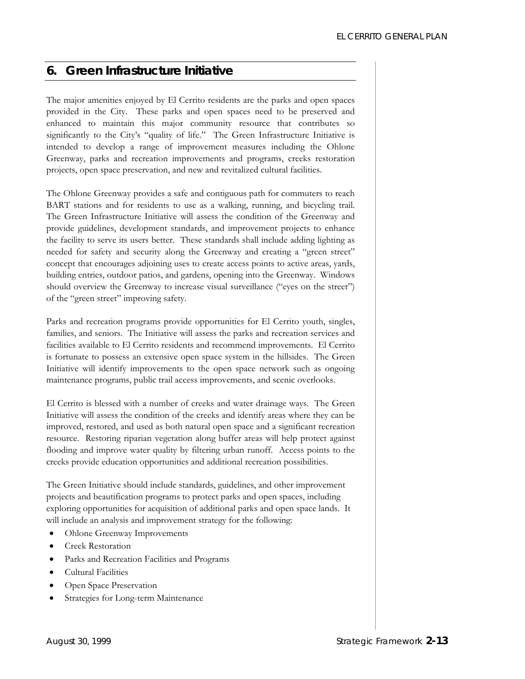### *6. Green Infrastructure Initiative*

The major amenities enjoyed by El Cerrito residents are the parks and open spaces provided in the City. These parks and open spaces need to be preserved and enhanced to maintain this major community resource that contributes so significantly to the City's "quality of life." The Green Infrastructure Initiative is intended to develop a range of improvement measures including the Ohlone Greenway, parks and recreation improvements and programs, creeks restoration projects, open space preservation, and new and revitalized cultural facilities.

The Ohlone Greenway provides a safe and contiguous path for commuters to reach BART stations and for residents to use as a walking, running, and bicycling trail. The Green Infrastructure Initiative will assess the condition of the Greenway and provide guidelines, development standards, and improvement projects to enhance the facility to serve its users better. These standards shall include adding lighting as needed for safety and security along the Greenway and creating a "green street" concept that encourages adjoining uses to create access points to active areas, yards, building entries, outdoor patios, and gardens, opening into the Greenway. Windows should overview the Greenway to increase visual surveillance ("eyes on the street") of the "green street" improving safety.

Parks and recreation programs provide opportunities for El Cerrito youth, singles, families, and seniors. The Initiative will assess the parks and recreation services and facilities available to El Cerrito residents and recommend improvements. El Cerrito is fortunate to possess an extensive open space system in the hillsides. The Green Initiative will identify improvements to the open space network such as ongoing maintenance programs, public trail access improvements, and scenic overlooks.

El Cerrito is blessed with a number of creeks and water drainage ways. The Green Initiative will assess the condition of the creeks and identify areas where they can be improved, restored, and used as both natural open space and a significant recreation resource. Restoring riparian vegetation along buffer areas will help protect against flooding and improve water quality by filtering urban runoff. Access points to the creeks provide education opportunities and additional recreation possibilities.

The Green Initiative should include standards, guidelines, and other improvement projects and beautification programs to protect parks and open spaces, including exploring opportunities for acquisition of additional parks and open space lands. It will include an analysis and improvement strategy for the following:

- Ohlone Greenway Improvements
- Creek Restoration
- Parks and Recreation Facilities and Programs
- Cultural Facilities
- Open Space Preservation
- Strategies for Long-term Maintenance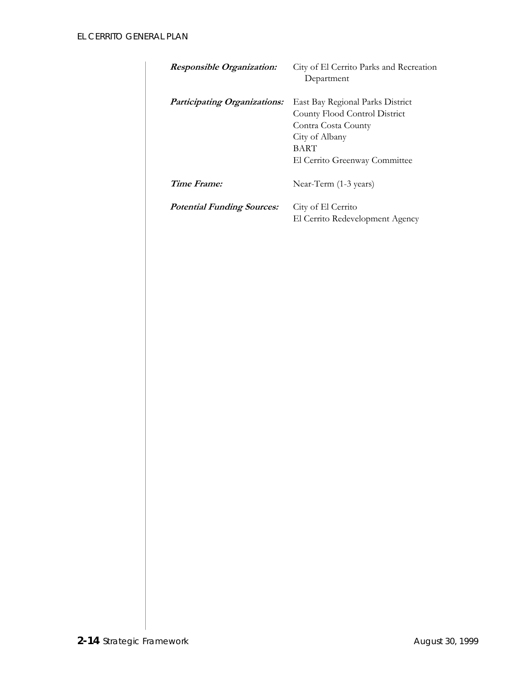| <b>Responsible Organization:</b>    | City of El Cerrito Parks and Recreation<br>Department                                                                                                      |
|-------------------------------------|------------------------------------------------------------------------------------------------------------------------------------------------------------|
| <b>Participating Organizations:</b> | East Bay Regional Parks District<br>County Flood Control District<br>Contra Costa County<br>City of Albany<br><b>BART</b><br>El Cerrito Greenway Committee |
| Time Frame:                         | Near-Term (1-3 years)                                                                                                                                      |
| <b>Potential Funding Sources:</b>   | City of El Cerrito<br>El Cerrito Redevelopment Agency                                                                                                      |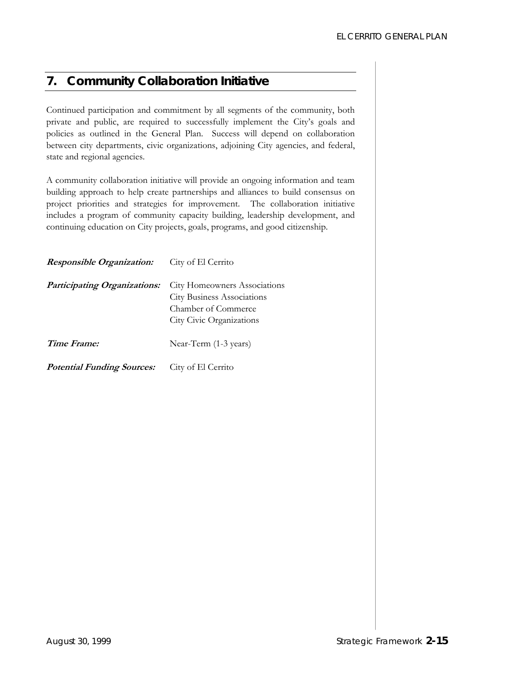### *7. Community Collaboration Initiative*

Continued participation and commitment by all segments of the community, both private and public, are required to successfully implement the City's goals and policies as outlined in the General Plan. Success will depend on collaboration between city departments, civic organizations, adjoining City agencies, and federal, state and regional agencies.

A community collaboration initiative will provide an ongoing information and team building approach to help create partnerships and alliances to build consensus on project priorities and strategies for improvement. The collaboration initiative includes a program of community capacity building, leadership development, and continuing education on City projects, goals, programs, and good citizenship.

| <b>Responsible Organization:</b>    | City of El Cerrito                                                                                                          |
|-------------------------------------|-----------------------------------------------------------------------------------------------------------------------------|
| <b>Participating Organizations:</b> | <b>City Homeowners Associations</b><br><b>City Business Associations</b><br>Chamber of Commerce<br>City Civic Organizations |
| Time Frame:                         | Near-Term (1-3 years)                                                                                                       |
| <b>Potential Funding Sources:</b>   | City of El Cerrito                                                                                                          |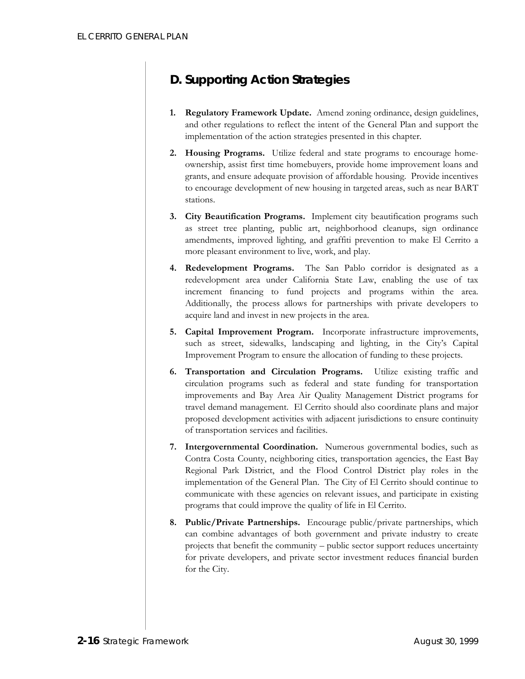# **D. Supporting Action Strategies**

- **1. Regulatory Framework Update.** Amend zoning ordinance, design guidelines, and other regulations to reflect the intent of the General Plan and support the implementation of the action strategies presented in this chapter.
- **2. Housing Programs.** Utilize federal and state programs to encourage homeownership, assist first time homebuyers, provide home improvement loans and grants, and ensure adequate provision of affordable housing. Provide incentives to encourage development of new housing in targeted areas, such as near BART stations.
- **3. City Beautification Programs.** Implement city beautification programs such as street tree planting, public art, neighborhood cleanups, sign ordinance amendments, improved lighting, and graffiti prevention to make El Cerrito a more pleasant environment to live, work, and play.
- **4. Redevelopment Programs.** The San Pablo corridor is designated as a redevelopment area under California State Law, enabling the use of tax increment financing to fund projects and programs within the area. Additionally, the process allows for partnerships with private developers to acquire land and invest in new projects in the area.
- **5. Capital Improvement Program.** Incorporate infrastructure improvements, such as street, sidewalks, landscaping and lighting, in the City's Capital Improvement Program to ensure the allocation of funding to these projects.
- **6. Transportation and Circulation Programs.** Utilize existing traffic and circulation programs such as federal and state funding for transportation improvements and Bay Area Air Quality Management District programs for travel demand management. El Cerrito should also coordinate plans and major proposed development activities with adjacent jurisdictions to ensure continuity of transportation services and facilities.
- **7. Intergovernmental Coordination.** Numerous governmental bodies, such as Contra Costa County, neighboring cities, transportation agencies, the East Bay Regional Park District, and the Flood Control District play roles in the implementation of the General Plan. The City of El Cerrito should continue to communicate with these agencies on relevant issues, and participate in existing programs that could improve the quality of life in El Cerrito.
- **8. Public/Private Partnerships.** Encourage public/private partnerships, which can combine advantages of both government and private industry to create projects that benefit the community – public sector support reduces uncertainty for private developers, and private sector investment reduces financial burden for the City.